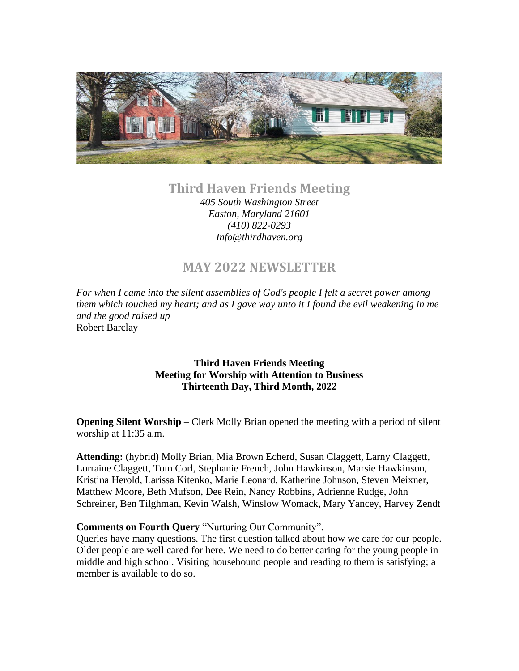

## **Third Haven Friends Meeting**

*405 South Washington Street Easton, Maryland 21601 (410) 822-0293 Info@thirdhaven.org*

# **MAY 2022 NEWSLETTER**

*For when I came into the silent assemblies of God's people I felt a secret power among them which touched my heart; and as I gave way unto it I found the evil weakening in me and the good raised up* Robert Barclay

#### **Third Haven Friends Meeting Meeting for Worship with Attention to Business Thirteenth Day, Third Month, 2022**

**Opening Silent Worship** – Clerk Molly Brian opened the meeting with a period of silent worship at 11:35 a.m.

**Attending:** (hybrid) Molly Brian, Mia Brown Echerd, Susan Claggett, Larny Claggett, Lorraine Claggett, Tom Corl, Stephanie French, John Hawkinson, Marsie Hawkinson, Kristina Herold, Larissa Kitenko, Marie Leonard, Katherine Johnson, Steven Meixner, Matthew Moore, Beth Mufson, Dee Rein, Nancy Robbins, Adrienne Rudge, John Schreiner, Ben Tilghman, Kevin Walsh, Winslow Womack, Mary Yancey, Harvey Zendt

#### **Comments on Fourth Query** "Nurturing Our Community".

Queries have many questions. The first question talked about how we care for our people. Older people are well cared for here. We need to do better caring for the young people in middle and high school. Visiting housebound people and reading to them is satisfying; a member is available to do so.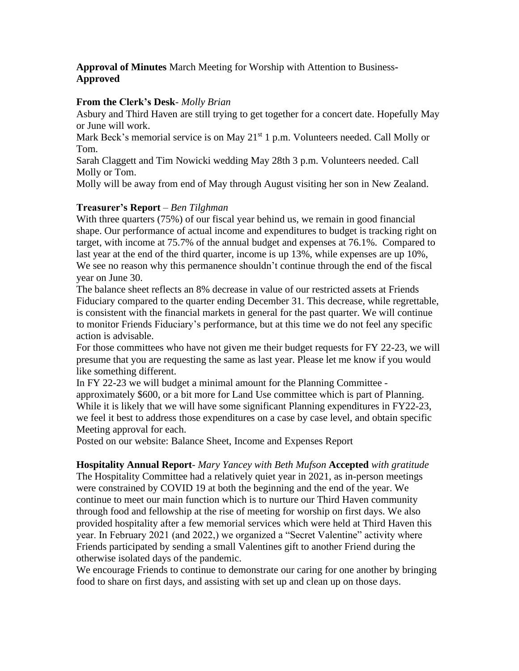## **Approval of Minutes** March Meeting for Worship with Attention to Business**-Approved**

#### **From the Clerk's Desk**- *Molly Brian*

Asbury and Third Haven are still trying to get together for a concert date. Hopefully May or June will work.

Mark Beck's memorial service is on May  $21<sup>st</sup> 1$  p.m. Volunteers needed. Call Molly or Tom.

Sarah Claggett and Tim Nowicki wedding May 28th 3 p.m. Volunteers needed. Call Molly or Tom.

Molly will be away from end of May through August visiting her son in New Zealand.

#### **Treasurer's Report** – *Ben Tilghman*

With three quarters (75%) of our fiscal year behind us, we remain in good financial shape. Our performance of actual income and expenditures to budget is tracking right on target, with income at 75.7% of the annual budget and expenses at 76.1%. Compared to last year at the end of the third quarter, income is up 13%, while expenses are up 10%, We see no reason why this permanence shouldn't continue through the end of the fiscal year on June 30.

The balance sheet reflects an 8% decrease in value of our restricted assets at Friends Fiduciary compared to the quarter ending December 31. This decrease, while regrettable, is consistent with the financial markets in general for the past quarter. We will continue to monitor Friends Fiduciary's performance, but at this time we do not feel any specific action is advisable.

For those committees who have not given me their budget requests for FY 22-23, we will presume that you are requesting the same as last year. Please let me know if you would like something different.

In FY 22-23 we will budget a minimal amount for the Planning Committee approximately \$600, or a bit more for Land Use committee which is part of Planning. While it is likely that we will have some significant Planning expenditures in FY22-23, we feel it best to address those expenditures on a case by case level, and obtain specific Meeting approval for each.

Posted on our website: Balance Sheet, Income and Expenses Report

**Hospitality Annual Report***- Mary Yancey with Beth Mufson* **Accepted** *with gratitude* The Hospitality Committee had a relatively quiet year in 2021, as in-person meetings were constrained by COVID 19 at both the beginning and the end of the year. We continue to meet our main function which is to nurture our Third Haven community through food and fellowship at the rise of meeting for worship on first days. We also provided hospitality after a few memorial services which were held at Third Haven this year. In February 2021 (and 2022,) we organized a "Secret Valentine" activity where Friends participated by sending a small Valentines gift to another Friend during the otherwise isolated days of the pandemic.

We encourage Friends to continue to demonstrate our caring for one another by bringing food to share on first days, and assisting with set up and clean up on those days.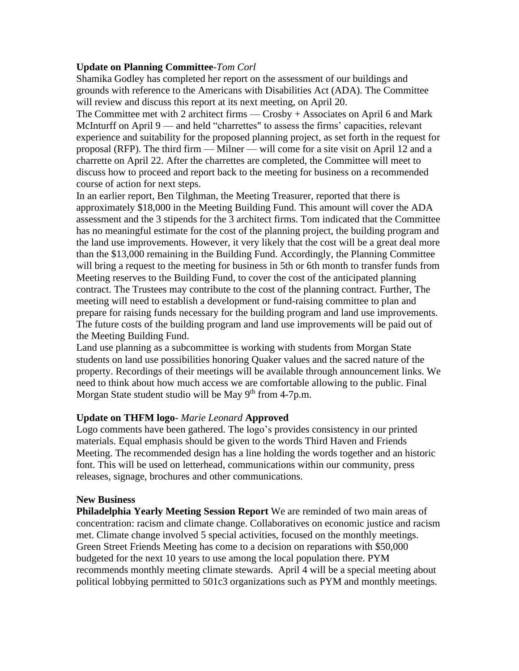#### **Update on Planning Committee***-Tom Corl*

Shamika Godley has completed her report on the assessment of our buildings and grounds with reference to the Americans with Disabilities Act (ADA). The Committee will review and discuss this report at its next meeting, on April 20.

The Committee met with 2 architect firms — Crosby + Associates on April 6 and Mark McInturff on April 9 — and held "charrettes" to assess the firms' capacities, relevant experience and suitability for the proposed planning project, as set forth in the request for proposal (RFP). The third firm — Milner — will come for a site visit on April 12 and a charrette on April 22. After the charrettes are completed, the Committee will meet to discuss how to proceed and report back to the meeting for business on a recommended course of action for next steps.

In an earlier report, Ben Tilghman, the Meeting Treasurer, reported that there is approximately \$18,000 in the Meeting Building Fund. This amount will cover the ADA assessment and the 3 stipends for the 3 architect firms. Tom indicated that the Committee has no meaningful estimate for the cost of the planning project, the building program and the land use improvements. However, it very likely that the cost will be a great deal more than the \$13,000 remaining in the Building Fund. Accordingly, the Planning Committee will bring a request to the meeting for business in 5th or 6th month to transfer funds from Meeting reserves to the Building Fund, to cover the cost of the anticipated planning contract. The Trustees may contribute to the cost of the planning contract. Further, The meeting will need to establish a development or fund-raising committee to plan and prepare for raising funds necessary for the building program and land use improvements. The future costs of the building program and land use improvements will be paid out of the Meeting Building Fund.

Land use planning as a subcommittee is working with students from Morgan State students on land use possibilities honoring Quaker values and the sacred nature of the property. Recordings of their meetings will be available through announcement links. We need to think about how much access we are comfortable allowing to the public. Final Morgan State student studio will be May 9<sup>th</sup> from 4-7p.m.

#### **Update on THFM logo***- Marie Leonard* **Approved**

Logo comments have been gathered. The logo's provides consistency in our printed materials. Equal emphasis should be given to the words Third Haven and Friends Meeting. The recommended design has a line holding the words together and an historic font. This will be used on letterhead, communications within our community, press releases, signage, brochures and other communications.

#### **New Business**

**Philadelphia Yearly Meeting Session Report** We are reminded of two main areas of concentration: racism and climate change. Collaboratives on economic justice and racism met. Climate change involved 5 special activities, focused on the monthly meetings. Green Street Friends Meeting has come to a decision on reparations with \$50,000 budgeted for the next 10 years to use among the local population there. PYM recommends monthly meeting climate stewards. April 4 will be a special meeting about political lobbying permitted to 501c3 organizations such as PYM and monthly meetings.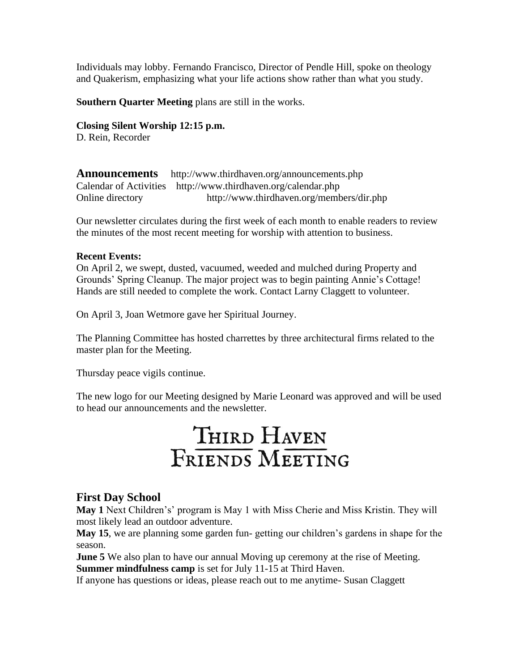Individuals may lobby. Fernando Francisco, Director of Pendle Hill, spoke on theology and Quakerism, emphasizing what your life actions show rather than what you study.

**Southern Quarter Meeting** plans are still in the works.

**Closing Silent Worship 12:15 p.m.** D. Rein, Recorder

**Announcements** <http://www.thirdhaven.org/announcements.php> Calendar of Activities <http://www.thirdhaven.org/calendar.php> Online directory <http://www.thirdhaven.org/members/dir.php>

Our newsletter circulates during the first week of each month to enable readers to review the minutes of the most recent meeting for worship with attention to business.

#### **Recent Events:**

On April 2, we swept, dusted, vacuumed, weeded and mulched during Property and Grounds' Spring Cleanup. The major project was to begin painting Annie's Cottage! Hands are still needed to complete the work. Contact Larny Claggett to volunteer.

On April 3, Joan Wetmore gave her Spiritual Journey.

The Planning Committee has hosted charrettes by three architectural firms related to the master plan for the Meeting.

Thursday peace vigils continue.

The new logo for our Meeting designed by Marie Leonard was approved and will be used to head our announcements and the newsletter.

# THIRD HAVEN FRIENDS MEETING

## **First Day School**

**May 1** Next Children's' program is May 1 with Miss Cherie and Miss Kristin. They will most likely lead an outdoor adventure.

**May 15**, we are planning some garden fun- getting our children's gardens in shape for the season.

**June 5** We also plan to have our annual Moving up ceremony at the rise of Meeting. **Summer mindfulness camp** is set for July 11-15 at Third Haven.

If anyone has questions or ideas, please reach out to me anytime- Susan Claggett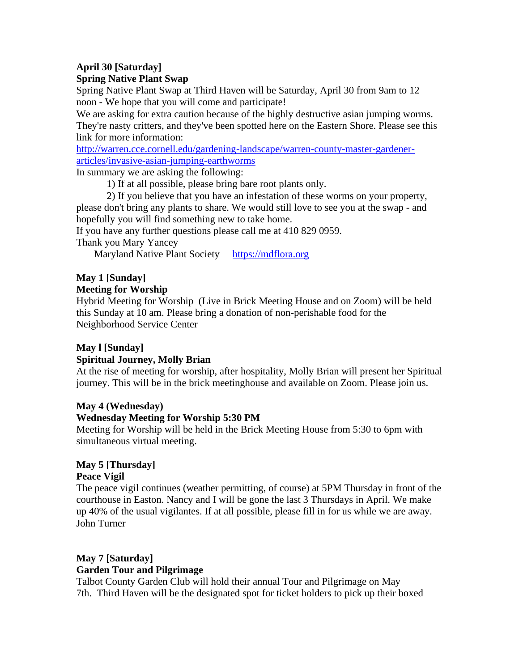#### **April 30 [Saturday] Spring Native Plant Swap**

Spring Native Plant Swap at Third Haven will be Saturday, April 30 from 9am to 12 noon - We hope that you will come and participate!

We are asking for extra caution because of the highly destructive asian jumping worms. They're nasty critters, and they've been spotted here on the Eastern Shore. Please see this link for more information:

[http://warren.cce.cornell.edu/gardening-landscape/warren-county-master-gardener](http://warren.cce.cornell.edu/gardening-landscape/warren-county-master-gardener-articles/invasive-asian-jumping-earthworms)[articles/invasive-asian-jumping-earthworms](http://warren.cce.cornell.edu/gardening-landscape/warren-county-master-gardener-articles/invasive-asian-jumping-earthworms)

In summary we are asking the following:

1) If at all possible, please bring bare root plants only.

2) If you believe that you have an infestation of these worms on your property, please don't bring any plants to share. We would still love to see you at the swap - and hopefully you will find something new to take home.

If you have any further questions please call me at 410 829 0959.

Thank you Mary Yancey

Maryland Native Plant Society [https://mdflora.org](https://mdflora.org/)

## **May 1 [Sunday]**

#### **Meeting for Worship**

Hybrid Meeting for Worship (Live in Brick Meeting House and on Zoom) will be held this Sunday at 10 am. Please bring a donation of non-perishable food for the Neighborhood Service Center

## **May l [Sunday]**

## **Spiritual Journey, Molly Brian**

At the rise of meeting for worship, after hospitality, Molly Brian will present her Spiritual journey. This will be in the brick meetinghouse and available on Zoom. Please join us.

## **May 4 (Wednesday)**

## **Wednesday Meeting for Worship 5:30 PM**

Meeting for Worship will be held in the Brick Meeting House from 5:30 to 6pm with simultaneous virtual meeting.

## **May 5 [Thursday]**

#### **Peace Vigil**

The peace vigil continues (weather permitting, of course) at 5PM Thursday in front of the courthouse in Easton. Nancy and I will be gone the last 3 Thursdays in April. We make up 40% of the usual vigilantes. If at all possible, please fill in for us while we are away. John Turner

## **May 7 [Saturday] Garden Tour and Pilgrimage**

Talbot County Garden Club will hold their annual Tour and Pilgrimage on May 7th. Third Haven will be the designated spot for ticket holders to pick up their boxed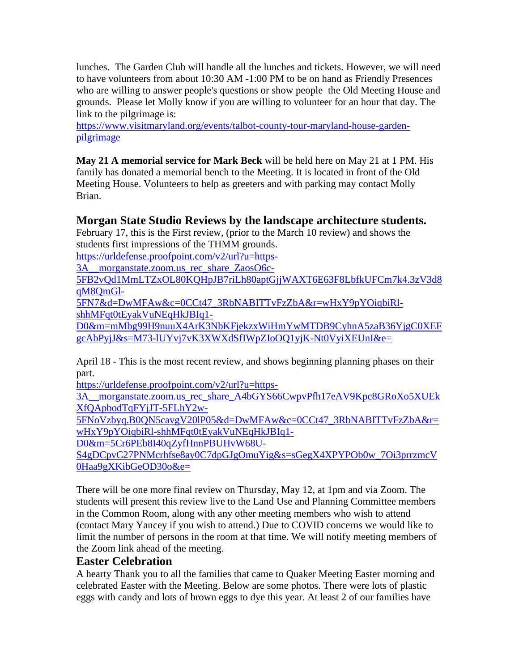lunches. The Garden Club will handle all the lunches and tickets. However, we will need to have volunteers from about 10:30 AM -1:00 PM to be on hand as Friendly Presences who are willing to answer people's questions or show people the Old Meeting House and grounds. Please let Molly know if you are willing to volunteer for an hour that day. The link to the pilgrimage is:

[https://www.visitmaryland.org/events/talbot-county-tour-maryland-house-garden](https://www.visitmaryland.org/events/talbot-county-tour-maryland-house-garden-pilgrimage)[pilgrimage](https://www.visitmaryland.org/events/talbot-county-tour-maryland-house-garden-pilgrimage)

**May 21 A memorial service for Mark Beck** will be held here on May 21 at 1 PM. His family has donated a memorial bench to the Meeting. It is located in front of the Old Meeting House. Volunteers to help as greeters and with parking may contact Molly Brian.

## **Morgan State Studio Reviews by the landscape architecture students.**

February 17, this is the First review, (prior to the March 10 review) and shows the students first impressions of the THMM grounds.

[https://urldefense.proofpoint.com/v2/url?u=https-](https://urldefense.proofpoint.com/v2/url?u=https-3A__morganstate.zoom.us_rec_share_ZaosO6c-5FB2vQd1MmLTZxOL80KQHpJB7riLh80aptGjjWAXT6E63F8LbfkUFCm7k4.3zV3d8qM8QmGl-5FN7&d=DwMFAw&c=0CCt47_3RbNABITTvFzZbA&r=wHxY9pYOiqbiRl-shhMFqt0tEyakVuNEqHkJBIq1-D0&m=mMbg99H9nuuX4ArK3NbKFjekzxWiHmYwMTDB9CyhnA5zaB36YjgC0XEFgcAbPyjJ&s=M73-lUYvj7vK3XWXdSfIWpZIoOQ1yjK-Nt0VyiXEUnI&e=)

3A \_morganstate.zoom.us\_rec\_share\_ZaosO6c-

[5FB2vQd1MmLTZxOL80KQHpJB7riLh80aptGjjWAXT6E63F8LbfkUFCm7k4.3zV3d8](https://urldefense.proofpoint.com/v2/url?u=https-3A__morganstate.zoom.us_rec_share_ZaosO6c-5FB2vQd1MmLTZxOL80KQHpJB7riLh80aptGjjWAXT6E63F8LbfkUFCm7k4.3zV3d8qM8QmGl-5FN7&d=DwMFAw&c=0CCt47_3RbNABITTvFzZbA&r=wHxY9pYOiqbiRl-shhMFqt0tEyakVuNEqHkJBIq1-D0&m=mMbg99H9nuuX4ArK3NbKFjekzxWiHmYwMTDB9CyhnA5zaB36YjgC0XEFgcAbPyjJ&s=M73-lUYvj7vK3XWXdSfIWpZIoOQ1yjK-Nt0VyiXEUnI&e=) [qM8QmGl-](https://urldefense.proofpoint.com/v2/url?u=https-3A__morganstate.zoom.us_rec_share_ZaosO6c-5FB2vQd1MmLTZxOL80KQHpJB7riLh80aptGjjWAXT6E63F8LbfkUFCm7k4.3zV3d8qM8QmGl-5FN7&d=DwMFAw&c=0CCt47_3RbNABITTvFzZbA&r=wHxY9pYOiqbiRl-shhMFqt0tEyakVuNEqHkJBIq1-D0&m=mMbg99H9nuuX4ArK3NbKFjekzxWiHmYwMTDB9CyhnA5zaB36YjgC0XEFgcAbPyjJ&s=M73-lUYvj7vK3XWXdSfIWpZIoOQ1yjK-Nt0VyiXEUnI&e=)

[5FN7&d=DwMFAw&c=0CCt47\\_3RbNABITTvFzZbA&r=wHxY9pYOiqbiRl](https://urldefense.proofpoint.com/v2/url?u=https-3A__morganstate.zoom.us_rec_share_ZaosO6c-5FB2vQd1MmLTZxOL80KQHpJB7riLh80aptGjjWAXT6E63F8LbfkUFCm7k4.3zV3d8qM8QmGl-5FN7&d=DwMFAw&c=0CCt47_3RbNABITTvFzZbA&r=wHxY9pYOiqbiRl-shhMFqt0tEyakVuNEqHkJBIq1-D0&m=mMbg99H9nuuX4ArK3NbKFjekzxWiHmYwMTDB9CyhnA5zaB36YjgC0XEFgcAbPyjJ&s=M73-lUYvj7vK3XWXdSfIWpZIoOQ1yjK-Nt0VyiXEUnI&e=)[shhMFqt0tEyakVuNEqHkJBIq1-](https://urldefense.proofpoint.com/v2/url?u=https-3A__morganstate.zoom.us_rec_share_ZaosO6c-5FB2vQd1MmLTZxOL80KQHpJB7riLh80aptGjjWAXT6E63F8LbfkUFCm7k4.3zV3d8qM8QmGl-5FN7&d=DwMFAw&c=0CCt47_3RbNABITTvFzZbA&r=wHxY9pYOiqbiRl-shhMFqt0tEyakVuNEqHkJBIq1-D0&m=mMbg99H9nuuX4ArK3NbKFjekzxWiHmYwMTDB9CyhnA5zaB36YjgC0XEFgcAbPyjJ&s=M73-lUYvj7vK3XWXdSfIWpZIoOQ1yjK-Nt0VyiXEUnI&e=)

[D0&m=mMbg99H9nuuX4ArK3NbKFjekzxWiHmYwMTDB9CyhnA5zaB36YjgC0XEF](https://urldefense.proofpoint.com/v2/url?u=https-3A__morganstate.zoom.us_rec_share_ZaosO6c-5FB2vQd1MmLTZxOL80KQHpJB7riLh80aptGjjWAXT6E63F8LbfkUFCm7k4.3zV3d8qM8QmGl-5FN7&d=DwMFAw&c=0CCt47_3RbNABITTvFzZbA&r=wHxY9pYOiqbiRl-shhMFqt0tEyakVuNEqHkJBIq1-D0&m=mMbg99H9nuuX4ArK3NbKFjekzxWiHmYwMTDB9CyhnA5zaB36YjgC0XEFgcAbPyjJ&s=M73-lUYvj7vK3XWXdSfIWpZIoOQ1yjK-Nt0VyiXEUnI&e=) [gcAbPyjJ&s=M73-lUYvj7vK3XWXdSfIWpZIoOQ1yjK-Nt0VyiXEUnI&e=](https://urldefense.proofpoint.com/v2/url?u=https-3A__morganstate.zoom.us_rec_share_ZaosO6c-5FB2vQd1MmLTZxOL80KQHpJB7riLh80aptGjjWAXT6E63F8LbfkUFCm7k4.3zV3d8qM8QmGl-5FN7&d=DwMFAw&c=0CCt47_3RbNABITTvFzZbA&r=wHxY9pYOiqbiRl-shhMFqt0tEyakVuNEqHkJBIq1-D0&m=mMbg99H9nuuX4ArK3NbKFjekzxWiHmYwMTDB9CyhnA5zaB36YjgC0XEFgcAbPyjJ&s=M73-lUYvj7vK3XWXdSfIWpZIoOQ1yjK-Nt0VyiXEUnI&e=)

April 18 - This is the most recent review, and shows beginning planning phases on their part.

[https://urldefense.proofpoint.com/v2/url?u=https-](https://urldefense.proofpoint.com/v2/url?u=https-3A__morganstate.zoom.us_rec_share_A4bGYS66CwpvPfh17eAV9Kpc8GRoXo5XUEkXfQApbodTqFYjJT-5FLhY2w-5FNoVzbyq.B0QN5cavgV20lP05&d=DwMFAw&c=0CCt47_3RbNABITTvFzZbA&r=wHxY9pYOiqbiRl-shhMFqt0tEyakVuNEqHkJBIq1-D0&m=5Cr6PEb8I40qZyfHnnPBUHvW68U-S4gDCpvC27PNMcrhfse8ay0C7dpGJgOmuYig&s=sGegX4XPYPOb0w_7Oi3prrzmcV0Haa9gXKibGeOD30o&e=)

3A morganstate.zoom.us rec\_share\_A4bGYS66CwpvPfh17eAV9Kpc8GRoXo5XUEk [XfQApbodTqFYjJT-5FLhY2w-](https://urldefense.proofpoint.com/v2/url?u=https-3A__morganstate.zoom.us_rec_share_A4bGYS66CwpvPfh17eAV9Kpc8GRoXo5XUEkXfQApbodTqFYjJT-5FLhY2w-5FNoVzbyq.B0QN5cavgV20lP05&d=DwMFAw&c=0CCt47_3RbNABITTvFzZbA&r=wHxY9pYOiqbiRl-shhMFqt0tEyakVuNEqHkJBIq1-D0&m=5Cr6PEb8I40qZyfHnnPBUHvW68U-S4gDCpvC27PNMcrhfse8ay0C7dpGJgOmuYig&s=sGegX4XPYPOb0w_7Oi3prrzmcV0Haa9gXKibGeOD30o&e=)

[5FNoVzbyq.B0QN5cavgV20lP05&d=DwMFAw&c=0CCt47\\_3RbNABITTvFzZbA&r=](https://urldefense.proofpoint.com/v2/url?u=https-3A__morganstate.zoom.us_rec_share_A4bGYS66CwpvPfh17eAV9Kpc8GRoXo5XUEkXfQApbodTqFYjJT-5FLhY2w-5FNoVzbyq.B0QN5cavgV20lP05&d=DwMFAw&c=0CCt47_3RbNABITTvFzZbA&r=wHxY9pYOiqbiRl-shhMFqt0tEyakVuNEqHkJBIq1-D0&m=5Cr6PEb8I40qZyfHnnPBUHvW68U-S4gDCpvC27PNMcrhfse8ay0C7dpGJgOmuYig&s=sGegX4XPYPOb0w_7Oi3prrzmcV0Haa9gXKibGeOD30o&e=) [wHxY9pYOiqbiRl-shhMFqt0tEyakVuNEqHkJBIq1-](https://urldefense.proofpoint.com/v2/url?u=https-3A__morganstate.zoom.us_rec_share_A4bGYS66CwpvPfh17eAV9Kpc8GRoXo5XUEkXfQApbodTqFYjJT-5FLhY2w-5FNoVzbyq.B0QN5cavgV20lP05&d=DwMFAw&c=0CCt47_3RbNABITTvFzZbA&r=wHxY9pYOiqbiRl-shhMFqt0tEyakVuNEqHkJBIq1-D0&m=5Cr6PEb8I40qZyfHnnPBUHvW68U-S4gDCpvC27PNMcrhfse8ay0C7dpGJgOmuYig&s=sGegX4XPYPOb0w_7Oi3prrzmcV0Haa9gXKibGeOD30o&e=)

[D0&m=5Cr6PEb8I40qZyfHnnPBUHvW68U-](https://urldefense.proofpoint.com/v2/url?u=https-3A__morganstate.zoom.us_rec_share_A4bGYS66CwpvPfh17eAV9Kpc8GRoXo5XUEkXfQApbodTqFYjJT-5FLhY2w-5FNoVzbyq.B0QN5cavgV20lP05&d=DwMFAw&c=0CCt47_3RbNABITTvFzZbA&r=wHxY9pYOiqbiRl-shhMFqt0tEyakVuNEqHkJBIq1-D0&m=5Cr6PEb8I40qZyfHnnPBUHvW68U-S4gDCpvC27PNMcrhfse8ay0C7dpGJgOmuYig&s=sGegX4XPYPOb0w_7Oi3prrzmcV0Haa9gXKibGeOD30o&e=)

[S4gDCpvC27PNMcrhfse8ay0C7dpGJgOmuYig&s=sGegX4XPYPOb0w\\_7Oi3prrzmcV](https://urldefense.proofpoint.com/v2/url?u=https-3A__morganstate.zoom.us_rec_share_A4bGYS66CwpvPfh17eAV9Kpc8GRoXo5XUEkXfQApbodTqFYjJT-5FLhY2w-5FNoVzbyq.B0QN5cavgV20lP05&d=DwMFAw&c=0CCt47_3RbNABITTvFzZbA&r=wHxY9pYOiqbiRl-shhMFqt0tEyakVuNEqHkJBIq1-D0&m=5Cr6PEb8I40qZyfHnnPBUHvW68U-S4gDCpvC27PNMcrhfse8ay0C7dpGJgOmuYig&s=sGegX4XPYPOb0w_7Oi3prrzmcV0Haa9gXKibGeOD30o&e=) [0Haa9gXKibGeOD30o&e=](https://urldefense.proofpoint.com/v2/url?u=https-3A__morganstate.zoom.us_rec_share_A4bGYS66CwpvPfh17eAV9Kpc8GRoXo5XUEkXfQApbodTqFYjJT-5FLhY2w-5FNoVzbyq.B0QN5cavgV20lP05&d=DwMFAw&c=0CCt47_3RbNABITTvFzZbA&r=wHxY9pYOiqbiRl-shhMFqt0tEyakVuNEqHkJBIq1-D0&m=5Cr6PEb8I40qZyfHnnPBUHvW68U-S4gDCpvC27PNMcrhfse8ay0C7dpGJgOmuYig&s=sGegX4XPYPOb0w_7Oi3prrzmcV0Haa9gXKibGeOD30o&e=)

There will be one more final review on Thursday, May 12, at 1pm and via Zoom. The students will present this review live to the Land Use and Planning Committee members in the Common Room, along with any other meeting members who wish to attend (contact Mary Yancey if you wish to attend.) Due to COVID concerns we would like to limit the number of persons in the room at that time. We will notify meeting members of the Zoom link ahead of the meeting.

## **Easter Celebration**

A hearty Thank you to all the families that came to Quaker Meeting Easter morning and celebrated Easter with the Meeting. Below are some photos. There were lots of plastic eggs with candy and lots of brown eggs to dye this year. At least 2 of our families have